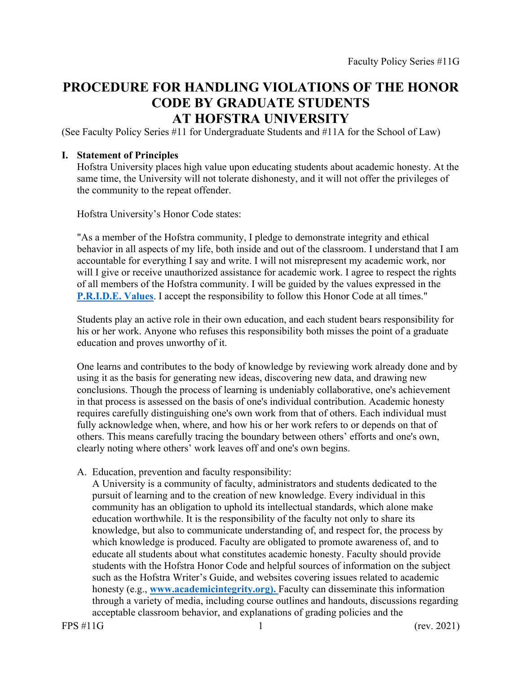# **PROCEDURE FOR HANDLING VIOLATIONS OF THE HONOR CODE BY GRADUATE STUDENTS AT HOFSTRA UNIVERSITY**

(See Faculty Policy Series #11 for Undergraduate Students and #11A for the School of Law)

## **I. Statement of Principles**

Hofstra University places high value upon educating students about academic honesty. At the same time, the University will not tolerate dishonesty, and it will not offer the privileges of the community to the repeat offender.

Hofstra University's Honor Code states:

"As a member of the Hofstra community, I pledge to demonstrate integrity and ethical behavior in all aspects of my life, both inside and out of the classroom. I understand that I am accountable for everything I say and write. I will not misrepresent my academic work, nor will I give or receive unauthorized assistance for academic work. I agree to respect the rights of all members of the Hofstra community. I will be guided by the values expressed in the **P.R.I.D.E. Values**. I accept the responsibility to follow this Honor Code at all times."

Students play an active role in their own education, and each student bears responsibility for his or her work. Anyone who refuses this responsibility both misses the point of a graduate education and proves unworthy of it.

One learns and contributes to the body of knowledge by reviewing work already done and by using it as the basis for generating new ideas, discovering new data, and drawing new conclusions. Though the process of learning is undeniably collaborative, one's achievement in that process is assessed on the basis of one's individual contribution. Academic honesty requires carefully distinguishing one's own work from that of others. Each individual must fully acknowledge when, where, and how his or her work refers to or depends on that of others. This means carefully tracing the boundary between others' efforts and one's own, clearly noting where others' work leaves off and one's own begins.

A. Education, prevention and faculty responsibility:

A University is a community of faculty, administrators and students dedicated to the pursuit of learning and to the creation of new knowledge. Every individual in this community has an obligation to uphold its intellectual standards, which alone make education worthwhile. It is the responsibility of the faculty not only to share its knowledge, but also to communicate understanding of, and respect for, the process by which knowledge is produced. Faculty are obligated to promote awareness of, and to educate all students about what constitutes academic honesty. Faculty should provide students with the Hofstra Honor Code and helpful sources of information on the subject such as the Hofstra Writer's Guide, and websites covering issues related to academic honesty (e.g., **<www.academicintegrity.org>).** Faculty can disseminate this information through a variety of media, including course outlines and handouts, discussions regarding acceptable classroom behavior, and explanations of grading policies and the

FPS #11G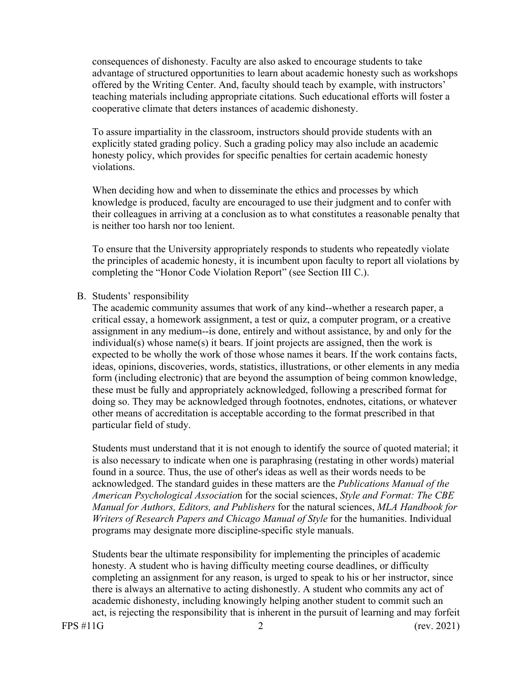consequences of dishonesty. Faculty are also asked to encourage students to take advantage of structured opportunities to learn about academic honesty such as workshops offered by the Writing Center. And, faculty should teach by example, with instructors' teaching materials including appropriate citations. Such educational efforts will foster a cooperative climate that deters instances of academic dishonesty.

To assure impartiality in the classroom, instructors should provide students with an explicitly stated grading policy. Such a grading policy may also include an academic honesty policy, which provides for specific penalties for certain academic honesty violations.

When deciding how and when to disseminate the ethics and processes by which knowledge is produced, faculty are encouraged to use their judgment and to confer with their colleagues in arriving at a conclusion as to what constitutes a reasonable penalty that is neither too harsh nor too lenient.

To ensure that the University appropriately responds to students who repeatedly violate the principles of academic honesty, it is incumbent upon faculty to report all violations by completing the "Honor Code Violation Report" (see Section III C.).

#### B. Students' responsibility

particular field of study. The academic community assumes that work of any kind--whether a research paper, a critical essay, a homework assignment, a test or quiz, a computer program, or a creative assignment in any medium--is done, entirely and without assistance, by and only for the individual(s) whose name(s) it bears. If joint projects are assigned, then the work is expected to be wholly the work of those whose names it bears. If the work contains facts, ideas, opinions, discoveries, words, statistics, illustrations, or other elements in any media form (including electronic) that are beyond the assumption of being common knowledge, these must be fully and appropriately acknowledged, following a prescribed format for doing so. They may be acknowledged through footnotes, endnotes, citations, or whatever other means of accreditation is acceptable according to the format prescribed in that

Students must understand that it is not enough to identify the source of quoted material; it is also necessary to indicate when one is paraphrasing (restating in other words) material found in a source. Thus, the use of other's ideas as well as their words needs to be acknowledged. The standard guides in these matters are the *Publications Manual of the American Psychological Associatio*n for the social sciences, *Style and Format: The CBE Manual for Authors, Editors, and Publishers* for the natural sciences, *MLA Handbook for Writers of Research Papers and Chicago Manual of Style* for the humanities. Individual programs may designate more discipline-specific style manuals.

Students bear the ultimate responsibility for implementing the principles of academic honesty. A student who is having difficulty meeting course deadlines, or difficulty completing an assignment for any reason, is urged to speak to his or her instructor, since there is always an alternative to acting dishonestly. A student who commits any act of academic dishonesty, including knowingly helping another student to commit such an act, is rejecting the responsibility that is inherent in the pursuit of learning and may forfeit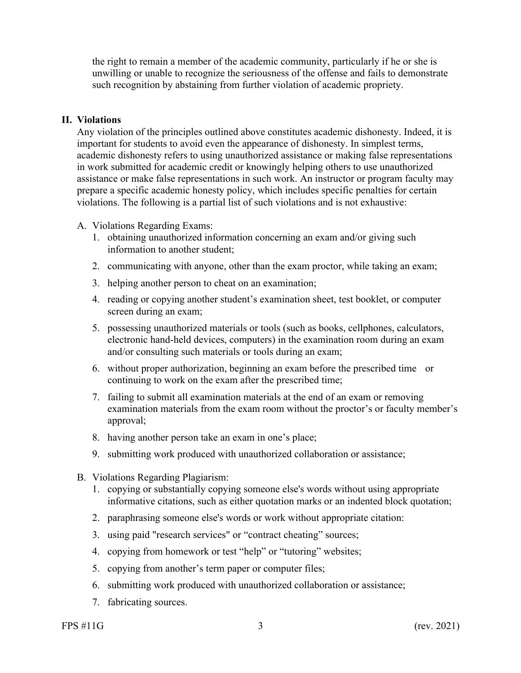the right to remain a member of the academic community, particularly if he or she is unwilling or unable to recognize the seriousness of the offense and fails to demonstrate such recognition by abstaining from further violation of academic propriety.

#### **II. Violations**

Any violation of the principles outlined above constitutes academic dishonesty. Indeed, it is important for students to avoid even the appearance of dishonesty. In simplest terms, academic dishonesty refers to using unauthorized assistance or making false representations in work submitted for academic credit or knowingly helping others to use unauthorized assistance or make false representations in such work. An instructor or program faculty may prepare a specific academic honesty policy, which includes specific penalties for certain violations. The following is a partial list of such violations and is not exhaustive:

#### A. Violations Regarding Exams:

- 1. obtaining unauthorized information concerning an exam and/or giving such information to another student;
- 2. communicating with anyone, other than the exam proctor, while taking an exam;
- 3. helping another person to cheat on an examination;
- 4. reading or copying another student's examination sheet, test booklet, or computer screen during an exam;
- 5. possessing unauthorized materials or tools (such as books, cellphones, calculators, electronic hand-held devices, computers) in the examination room during an exam and/or consulting such materials or tools during an exam;
- 6. without proper authorization, beginning an exam before the prescribed time or continuing to work on the exam after the prescribed time;
- 7. failing to submit all examination materials at the end of an exam or removing examination materials from the exam room without the proctor's or faculty member's approval;
- 8. having another person take an exam in one's place;
- 9. submitting work produced with unauthorized collaboration or assistance;
- B. Violations Regarding Plagiarism:
	- informative citations, such as either quotation marks or an indented block quotation;<br>2. paraphrasing someone else's words or work without appropriate citation:<br>3. using paid "research services" or "contract cheating" sour 1. copying or substantially copying someone else's words without using appropriate
	- 2. paraphrasing someone else's words or work without appropriate citation:
	-
	- 4. copying from homework or test "help" or "tutoring" websites;
	- 5. copying from another's term paper or computer files;
	- 6. submitting work produced with unauthorized collaboration or assistance;
	- 7. fabricating sources.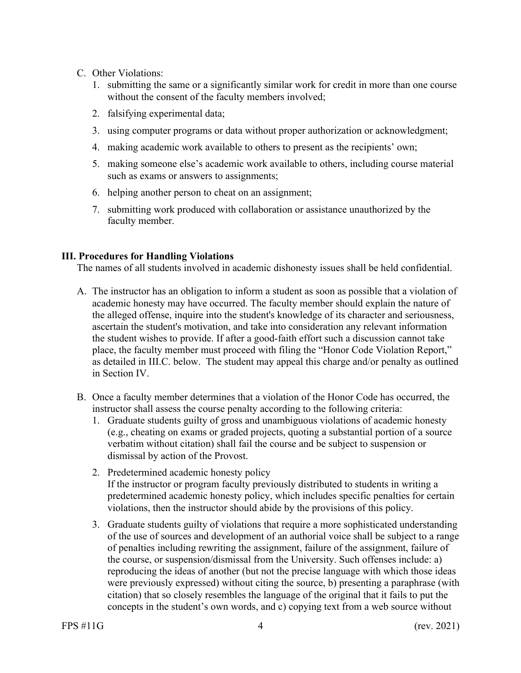- C. Other Violations:
	- 1. submitting the same or a significantly similar work for credit in more than one course without the consent of the faculty members involved;
	- 2. falsifying experimental data;
	- 3. using computer programs or data without proper authorization or acknowledgment;
	- 4. making academic work available to others to present as the recipients' own;
	- 5. making someone else's academic work available to others, including course material such as exams or answers to assignments;
	- 6. helping another person to cheat on an assignment;
	- 7. submitting work produced with collaboration or assistance unauthorized by the faculty member.

### **III. Procedures for Handling Violations**

The names of all students involved in academic dishonesty issues shall be held confidential.

- A. The instructor has an obligation to inform a student as soon as possible that a violation of academic honesty may have occurred. The faculty member should explain the nature of the alleged offense, inquire into the student's knowledge of its character and seriousness, ascertain the student's motivation, and take into consideration any relevant information the student wishes to provide. If after a good-faith effort such a discussion cannot take place, the faculty member must proceed with filing the "Honor Code Violation Report," as detailed in III.C. below. The student may appeal this charge and/or penalty as outlined in Section IV.
- B. Once a faculty member determines that a violation of the Honor Code has occurred, the instructor shall assess the course penalty according to the following criteria:
	- 1. Graduate students guilty of gross and unambiguous violations of academic honesty (e.g., cheating on exams or graded projects, quoting a substantial portion of a source verbatim without citation) shall fail the course and be subject to suspension or dismissal by action of the Provost.
	- 2. Predetermined academic honesty policy If the instructor or program faculty previously distributed to students in writing a predetermined academic honesty policy, which includes specific penalties for certain violations, then the instructor should abide by the provisions of this policy.
	- 3. Graduate students guilty of violations that require a more sophisticated understanding of the use of sources and development of an authorial voice shall be subject to a range of penalties including rewriting the assignment, failure of the assignment, failure of the course, or suspension/dismissal from the University. Such offenses include: a) reproducing the ideas of another (but not the precise language with which those ideas were previously expressed) without citing the source, b) presenting a paraphrase (with citation) that so closely resembles the language of the original that it fails to put the concepts in the student's own words, and c) copying text from a web source without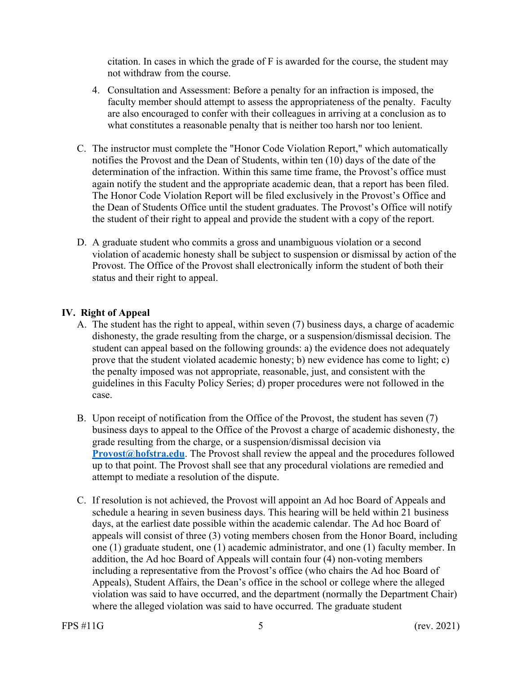citation. In cases in which the grade of F is awarded for the course, the student may not withdraw from the course.

- 4. Consultation and Assessment: Before a penalty for an infraction is imposed, the faculty member should attempt to assess the appropriateness of the penalty. Faculty are also encouraged to confer with their colleagues in arriving at a conclusion as to what constitutes a reasonable penalty that is neither too harsh nor too lenient.
- C. The instructor must complete the "Honor Code Violation Report," which automatically notifies the Provost and the Dean of Students, within ten (10) days of the date of the determination of the infraction. Within this same time frame, the Provost's office must again notify the student and the appropriate academic dean, that a report has been filed. The Honor Code Violation Report will be filed exclusively in the Provost's Office and the Dean of Students Office until the student graduates. The Provost's Office will notify the student of their right to appeal and provide the student with a copy of the report.
- D. A graduate student who commits a gross and unambiguous violation or a second violation of academic honesty shall be subject to suspension or dismissal by action of the Provost. The Office of the Provost shall electronically inform the student of both their status and their right to appeal.

## **IV. Right of Appeal**

- A. The student has the right to appeal, within seven (7) business days, a charge of academic dishonesty, the grade resulting from the charge, or a suspension/dismissal decision. The student can appeal based on the following grounds: a) the evidence does not adequately prove that the student violated academic honesty; b) new evidence has come to light; c) the penalty imposed was not appropriate, reasonable, just, and consistent with the guidelines in this Faculty Policy Series; d) proper procedures were not followed in the case.
- B. Upon receipt of notification from the Office of the Provost, the student has seven (7) business days to appeal to the Office of the Provost a charge of academic dishonesty, the grade resulting from the charge, or a suspension/dismissal decision via **[Provost@hofstra.edu](mailto:Provost@hofstra.edu).** The Provost shall review the appeal and the procedures followed up to that point. The Provost shall see that any procedural violations are remedied and attempt to mediate a resolution of the dispute.
- C. If resolution is not achieved, the Provost will appoint an Ad hoc Board of Appeals and schedule a hearing in seven business days. This hearing will be held within 21 business days, at the earliest date possible within the academic calendar. The Ad hoc Board of appeals will consist of three (3) voting members chosen from the Honor Board, including one (1) graduate student, one (1) academic administrator, and one (1) faculty member. In addition, the Ad hoc Board of Appeals will contain four (4) non-voting members including a representative from the Provost's office (who chairs the Ad hoc Board of Appeals), Student Affairs, the Dean's office in the school or college where the alleged violation was said to have occurred, and the department (normally the Department Chair) where the alleged violation was said to have occurred. The graduate student